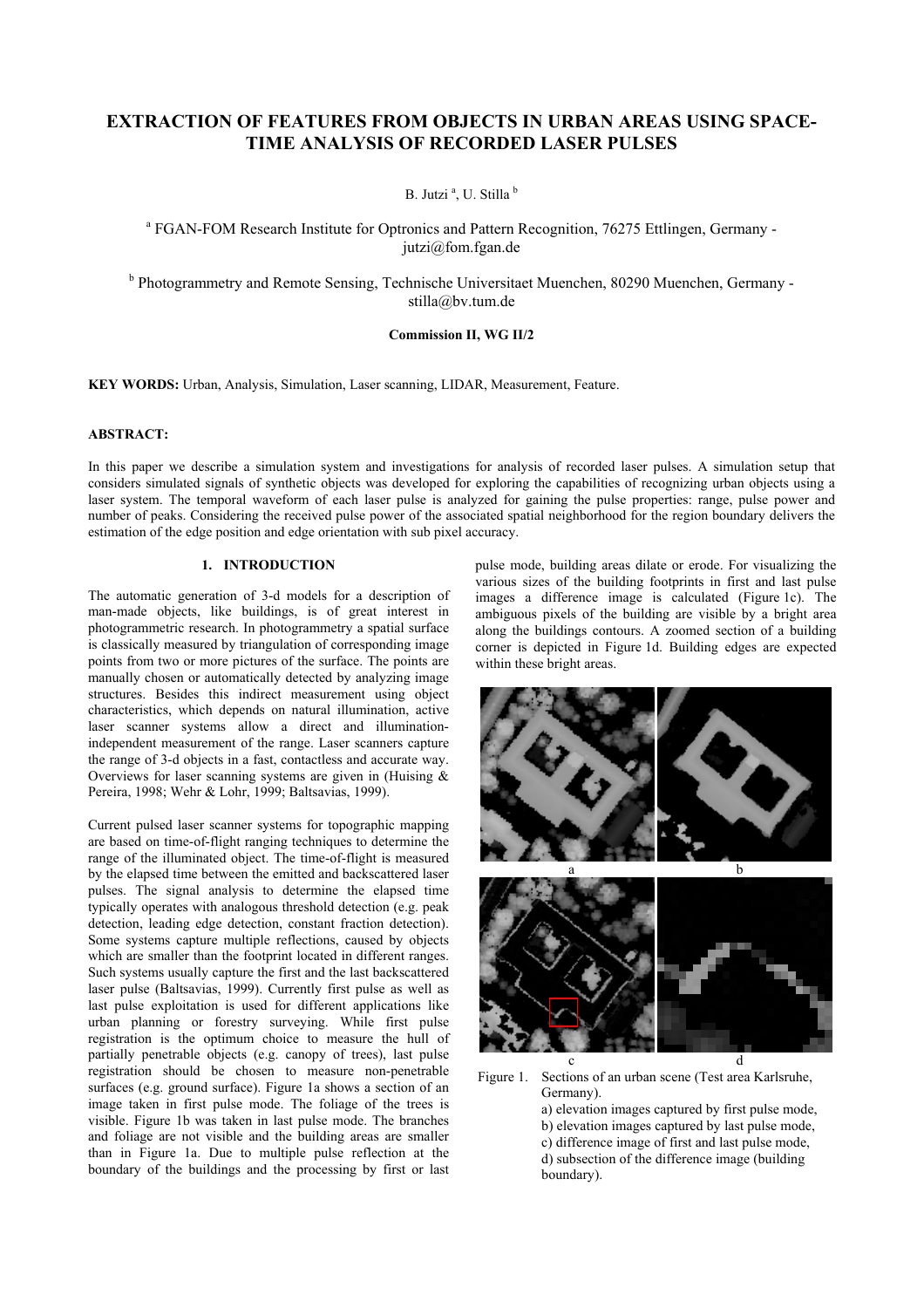# **EXTRACTION OF FEATURES FROM OBJECTS IN URBAN AREAS USING SPACE-TIME ANALYSIS OF RECORDED LASER PULSES**

B. Jutzi<sup>a</sup>, U. Stilla<sup>b</sup>

<sup>a</sup> FGAN-FOM Research Institute for Optronics and Pattern Recognition, 76275 Ettlingen, Germany jutzi@fom.fgan.de

<sup>b</sup> Photogrammetry and Remote Sensing, Technische Universitaet Muenchen, 80290 Muenchen, Germany stilla@bv.tum.de

## **Commission II, WG II/2**

**KEY WORDS:** Urban, Analysis, Simulation, Laser scanning, LIDAR, Measurement, Feature.

## **ABSTRACT:**

In this paper we describe a simulation system and investigations for analysis of recorded laser pulses. A simulation setup that considers simulated signals of synthetic objects was developed for exploring the capabilities of recognizing urban objects using a laser system. The temporal waveform of each laser pulse is analyzed for gaining the pulse properties: range, pulse power and number of peaks. Considering the received pulse power of the associated spatial neighborhood for the region boundary delivers the estimation of the edge position and edge orientation with sub pixel accuracy.

# **1. INTRODUCTION**

The automatic generation of 3-d models for a description of man-made objects, like buildings, is of great interest in photogrammetric research. In photogrammetry a spatial surface is classically measured by triangulation of corresponding image points from two or more pictures of the surface. The points are manually chosen or automatically detected by analyzing image structures. Besides this indirect measurement using object characteristics, which depends on natural illumination, active laser scanner systems allow a direct and illuminationindependent measurement of the range. Laser scanners capture the range of 3-d objects in a fast, contactless and accurate way. Overviews for laser scanning systems are given in (Huising  $\&$ Pereira, 1998; Wehr & Lohr, 1999; Baltsavias, 1999).

Current pulsed laser scanner systems for topographic mapping are based on time-of-flight ranging techniques to determine the range of the illuminated object. The time-of-flight is measured by the elapsed time between the emitted and backscattered laser pulses. The signal analysis to determine the elapsed time typically operates with analogous threshold detection (e.g. peak detection, leading edge detection, constant fraction detection). Some systems capture multiple reflections, caused by objects which are smaller than the footprint located in different ranges. Such systems usually capture the first and the last backscattered laser pulse (Baltsavias, 1999). Currently first pulse as well as last pulse exploitation is used for different applications like urban planning or forestry surveying. While first pulse registration is the optimum choice to measure the hull of partially penetrable objects (e.g. canopy of trees), last pulse registration should be chosen to measure non-penetrable surfaces (e.g. ground surface). Figure 1a shows a section of an image taken in first pulse mode. The foliage of the trees is visible. Figure 1b was taken in last pulse mode. The branches and foliage are not visible and the building areas are smaller than in Figure 1a. Due to multiple pulse reflection at the boundary of the buildings and the processing by first or last pulse mode, building areas dilate or erode. For visualizing the various sizes of the building footprints in first and last pulse images a difference image is calculated (Figure 1c). The ambiguous pixels of the building are visible by a bright area along the buildings contours. A zoomed section of a building corner is depicted in Figure 1d. Building edges are expected within these bright areas.



Figure 1. Sections of an urban scene (Test area Karlsruhe, Germany).

a) elevation images captured by first pulse mode, b) elevation images captured by last pulse mode, c) difference image of first and last pulse mode, d) subsection of the difference image (building boundary).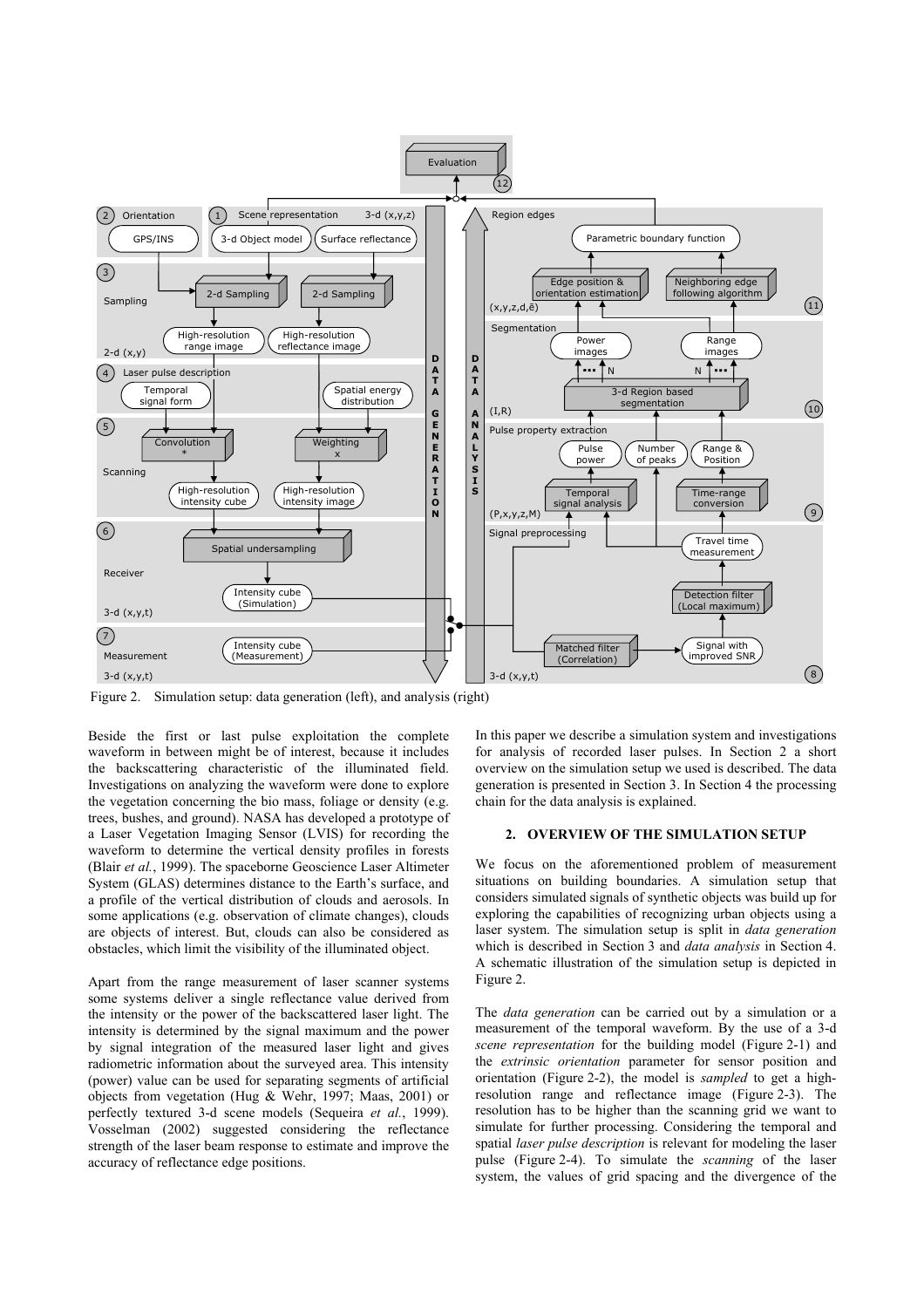

Figure 2. Simulation setup: data generation (left), and analysis (right)

Beside the first or last pulse exploitation the complete waveform in between might be of interest, because it includes the backscattering characteristic of the illuminated field. Investigations on analyzing the waveform were done to explore the vegetation concerning the bio mass, foliage or density (e.g. trees, bushes, and ground). NASA has developed a prototype of a Laser Vegetation Imaging Sensor (LVIS) for recording the waveform to determine the vertical density profiles in forests (Blair *et al.*, 1999). The spaceborne Geoscience Laser Altimeter System (GLAS) determines distance to the Earth's surface, and a profile of the vertical distribution of clouds and aerosols. In some applications (e.g. observation of climate changes), clouds are objects of interest. But, clouds can also be considered as obstacles, which limit the visibility of the illuminated object.

Apart from the range measurement of laser scanner systems some systems deliver a single reflectance value derived from the intensity or the power of the backscattered laser light. The intensity is determined by the signal maximum and the power by signal integration of the measured laser light and gives radiometric information about the surveyed area. This intensity (power) value can be used for separating segments of artificial objects from vegetation (Hug & Wehr, 1997; Maas, 2001) or perfectly textured 3-d scene models (Sequeira *et al.*, 1999). Vosselman (2002) suggested considering the reflectance strength of the laser beam response to estimate and improve the accuracy of reflectance edge positions.

In this paper we describe a simulation system and investigations for analysis of recorded laser pulses. In Section 2 a short overview on the simulation setup we used is described. The data generation is presented in Section 3. In Section 4 the processing chain for the data analysis is explained.

### **2. OVERVIEW OF THE SIMULATION SETUP**

We focus on the aforementioned problem of measurement situations on building boundaries. A simulation setup that considers simulated signals of synthetic objects was build up for exploring the capabilities of recognizing urban objects using a laser system. The simulation setup is split in *data generation* which is described in Section 3 and *data analysis* in Section 4. A schematic illustration of the simulation setup is depicted in Figure 2.

The *data generation* can be carried out by a simulation or a measurement of the temporal waveform. By the use of a 3-d *scene representation* for the building model (Figure 2-1) and the *extrinsic orientation* parameter for sensor position and orientation (Figure 2-2), the model is *sampled* to get a highresolution range and reflectance image (Figure 2-3). The resolution has to be higher than the scanning grid we want to simulate for further processing. Considering the temporal and spatial *laser pulse description* is relevant for modeling the laser pulse (Figure 2-4). To simulate the *scanning* of the laser system, the values of grid spacing and the divergence of the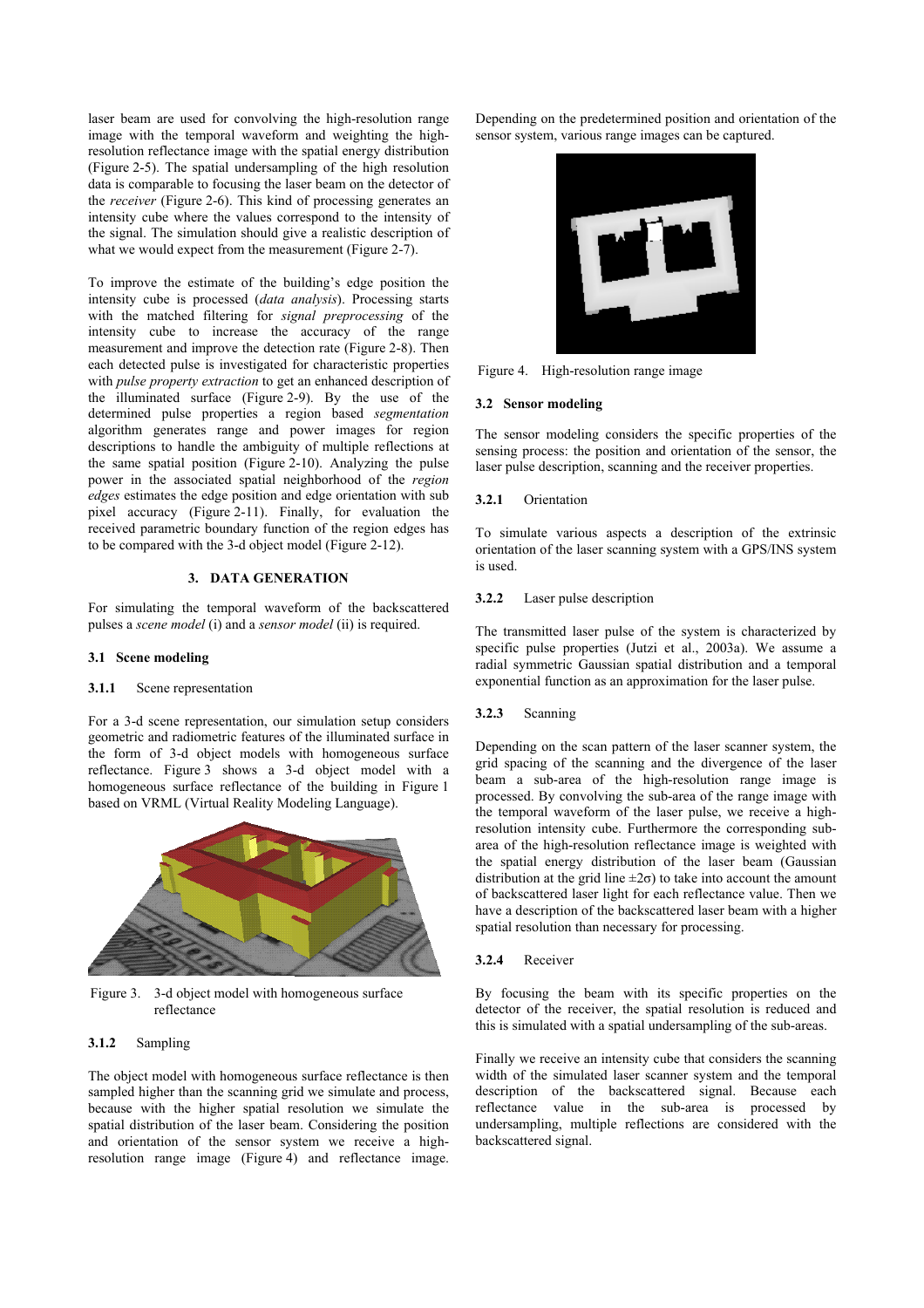laser beam are used for convolving the high-resolution range image with the temporal waveform and weighting the highresolution reflectance image with the spatial energy distribution (Figure 2-5). The spatial undersampling of the high resolution data is comparable to focusing the laser beam on the detector of the *receiver* (Figure 2-6). This kind of processing generates an intensity cube where the values correspond to the intensity of the signal. The simulation should give a realistic description of what we would expect from the measurement (Figure 2-7).

To improve the estimate of the building's edge position the intensity cube is processed (*data analysis*). Processing starts with the matched filtering for *signal preprocessing* of the intensity cube to increase the accuracy of the range measurement and improve the detection rate (Figure 2-8). Then each detected pulse is investigated for characteristic properties with *pulse property extraction* to get an enhanced description of the illuminated surface (Figure 2-9). By the use of the determined pulse properties a region based *segmentation* algorithm generates range and power images for region descriptions to handle the ambiguity of multiple reflections at the same spatial position (Figure 2-10). Analyzing the pulse power in the associated spatial neighborhood of the *region edges* estimates the edge position and edge orientation with sub pixel accuracy (Figure 2-11). Finally, for evaluation the received parametric boundary function of the region edges has to be compared with the 3-d object model (Figure 2-12).

## **3. DATA GENERATION**

For simulating the temporal waveform of the backscattered pulses a *scene model* (i) and a *sensor model* (ii) is required.

### **3.1 Scene modeling**

#### **3.1.1** Scene representation

For a 3-d scene representation, our simulation setup considers geometric and radiometric features of the illuminated surface in the form of 3-d object models with homogeneous surface reflectance. Figure 3 shows a 3-d object model with a homogeneous surface reflectance of the building in Figure 1 based on VRML (Virtual Reality Modeling Language).



Figure 3. 3-d object model with homogeneous surface reflectance

## **3.1.2** Sampling

The object model with homogeneous surface reflectance is then sampled higher than the scanning grid we simulate and process, because with the higher spatial resolution we simulate the spatial distribution of the laser beam. Considering the position and orientation of the sensor system we receive a highresolution range image (Figure 4) and reflectance image. Depending on the predetermined position and orientation of the sensor system, various range images can be captured.



Figure 4. High-resolution range image

### **3.2 Sensor modeling**

The sensor modeling considers the specific properties of the sensing process: the position and orientation of the sensor, the laser pulse description, scanning and the receiver properties.

#### **3.2.1** Orientation

To simulate various aspects a description of the extrinsic orientation of the laser scanning system with a GPS/INS system is used.

#### **3.2.2** Laser pulse description

The transmitted laser pulse of the system is characterized by specific pulse properties (Jutzi et al., 2003a). We assume a radial symmetric Gaussian spatial distribution and a temporal exponential function as an approximation for the laser pulse.

#### **3.2.3** Scanning

Depending on the scan pattern of the laser scanner system, the grid spacing of the scanning and the divergence of the laser beam a sub-area of the high-resolution range image is processed. By convolving the sub-area of the range image with the temporal waveform of the laser pulse, we receive a highresolution intensity cube. Furthermore the corresponding subarea of the high-resolution reflectance image is weighted with the spatial energy distribution of the laser beam (Gaussian distribution at the grid line  $\pm 2\sigma$ ) to take into account the amount of backscattered laser light for each reflectance value. Then we have a description of the backscattered laser beam with a higher spatial resolution than necessary for processing.

#### **3.2.4** Receiver

By focusing the beam with its specific properties on the detector of the receiver, the spatial resolution is reduced and this is simulated with a spatial undersampling of the sub-areas.

Finally we receive an intensity cube that considers the scanning width of the simulated laser scanner system and the temporal description of the backscattered signal. Because each reflectance value in the sub-area is processed by undersampling, multiple reflections are considered with the backscattered signal.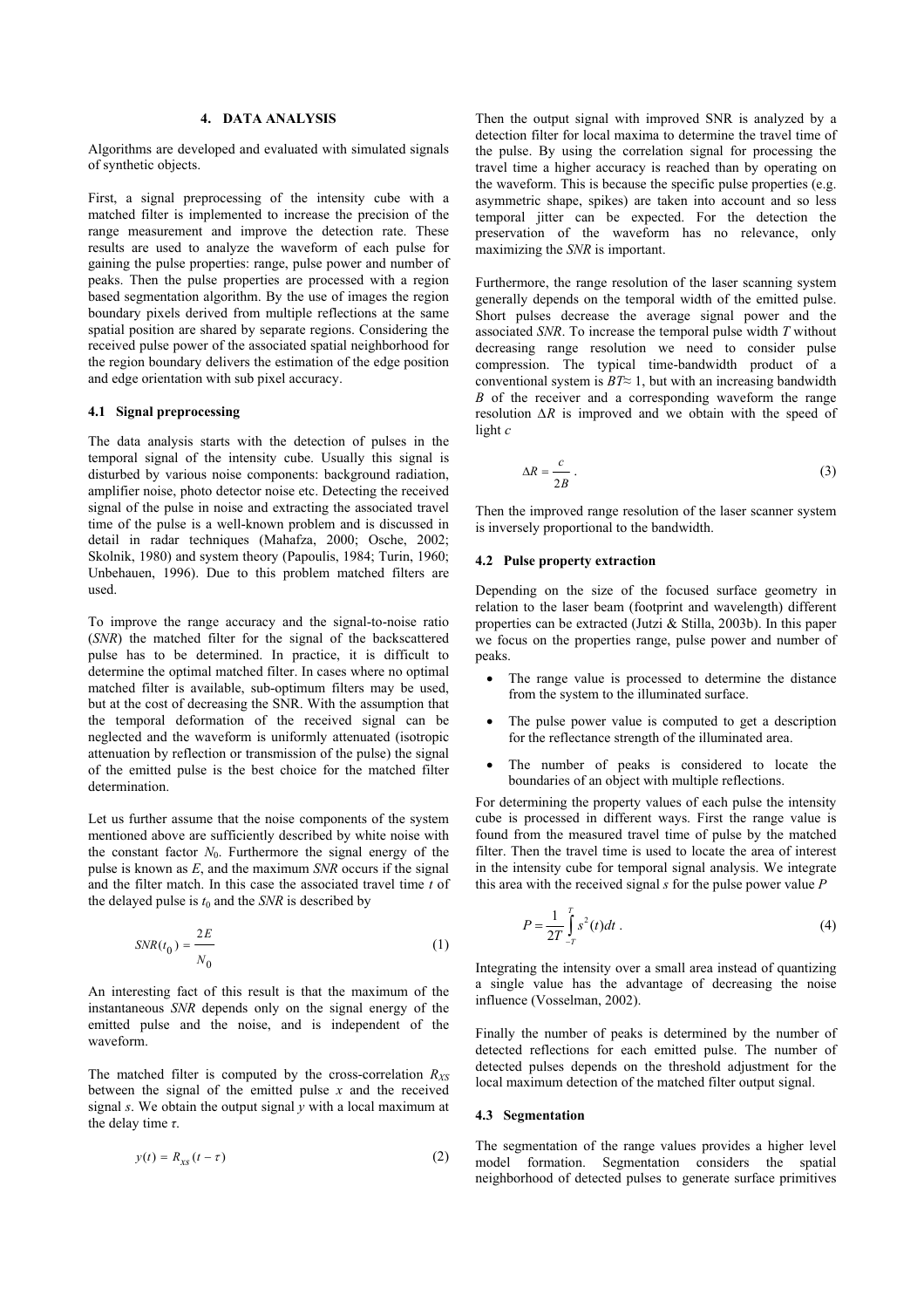## **4. DATA ANALYSIS**

Algorithms are developed and evaluated with simulated signals of synthetic objects.

First, a signal preprocessing of the intensity cube with a matched filter is implemented to increase the precision of the range measurement and improve the detection rate. These results are used to analyze the waveform of each pulse for gaining the pulse properties: range, pulse power and number of peaks. Then the pulse properties are processed with a region based segmentation algorithm. By the use of images the region boundary pixels derived from multiple reflections at the same spatial position are shared by separate regions. Considering the received pulse power of the associated spatial neighborhood for the region boundary delivers the estimation of the edge position and edge orientation with sub pixel accuracy.

## **4.1 Signal preprocessing**

The data analysis starts with the detection of pulses in the temporal signal of the intensity cube. Usually this signal is disturbed by various noise components: background radiation, amplifier noise, photo detector noise etc. Detecting the received signal of the pulse in noise and extracting the associated travel time of the pulse is a well-known problem and is discussed in detail in radar techniques (Mahafza, 2000; Osche, 2002; Skolnik, 1980) and system theory (Papoulis, 1984; Turin, 1960; Unbehauen, 1996). Due to this problem matched filters are used.

To improve the range accuracy and the signal-to-noise ratio (*SNR*) the matched filter for the signal of the backscattered pulse has to be determined. In practice, it is difficult to determine the optimal matched filter. In cases where no optimal matched filter is available, sub-optimum filters may be used, but at the cost of decreasing the SNR. With the assumption that the temporal deformation of the received signal can be neglected and the waveform is uniformly attenuated (isotropic attenuation by reflection or transmission of the pulse) the signal of the emitted pulse is the best choice for the matched filter determination.

Let us further assume that the noise components of the system mentioned above are sufficiently described by white noise with the constant factor  $N_0$ . Furthermore the signal energy of the pulse is known as *E*, and the maximum *SNR* occurs if the signal and the filter match. In this case the associated travel time *t* of the delayed pulse is  $t_0$  and the *SNR* is described by

$$
SNR(t_0) = \frac{2E}{N_0} \tag{1}
$$

An interesting fact of this result is that the maximum of the instantaneous *SNR* depends only on the signal energy of the emitted pulse and the noise, and is independent of the waveform.

The matched filter is computed by the cross-correlation  $R_{XS}$ between the signal of the emitted pulse *x* and the received signal *s*. We obtain the output signal  $\gamma$  with a local maximum at the delay time *τ*.

$$
y(t) = R_{\rm xs} \left( t - \tau \right) \tag{2}
$$

Then the output signal with improved SNR is analyzed by a detection filter for local maxima to determine the travel time of the pulse. By using the correlation signal for processing the travel time a higher accuracy is reached than by operating on the waveform. This is because the specific pulse properties (e.g. asymmetric shape, spikes) are taken into account and so less temporal jitter can be expected. For the detection the preservation of the waveform has no relevance, only maximizing the *SNR* is important.

Furthermore, the range resolution of the laser scanning system generally depends on the temporal width of the emitted pulse. Short pulses decrease the average signal power and the associated *SNR*. To increase the temporal pulse width *T* without decreasing range resolution we need to consider pulse compression. The typical time-bandwidth product of a conventional system is  $BT \approx 1$ , but with an increasing bandwidth *B* of the receiver and a corresponding waveform the range resolution *∆R* is improved and we obtain with the speed of light *c* 

$$
\Delta R = \frac{c}{2B} \,. \tag{3}
$$

Then the improved range resolution of the laser scanner system is inversely proportional to the bandwidth.

### **4.2 Pulse property extraction**

Depending on the size of the focused surface geometry in relation to the laser beam (footprint and wavelength) different properties can be extracted (Jutzi & Stilla, 2003b). In this paper we focus on the properties range, pulse power and number of peaks.

- The range value is processed to determine the distance from the system to the illuminated surface.
- The pulse power value is computed to get a description for the reflectance strength of the illuminated area.
- The number of peaks is considered to locate the boundaries of an object with multiple reflections.

For determining the property values of each pulse the intensity cube is processed in different ways. First the range value is found from the measured travel time of pulse by the matched filter. Then the travel time is used to locate the area of interest in the intensity cube for temporal signal analysis. We integrate this area with the received signal *s* for the pulse power value *P* 

$$
P = \frac{1}{2T} \int_{-T}^{T} s^2(t) dt
$$
 (4)

Integrating the intensity over a small area instead of quantizing a single value has the advantage of decreasing the noise influence (Vosselman, 2002).

Finally the number of peaks is determined by the number of detected reflections for each emitted pulse. The number of detected pulses depends on the threshold adjustment for the local maximum detection of the matched filter output signal.

### **4.3 Segmentation**

The segmentation of the range values provides a higher level model formation. Segmentation considers the spatial neighborhood of detected pulses to generate surface primitives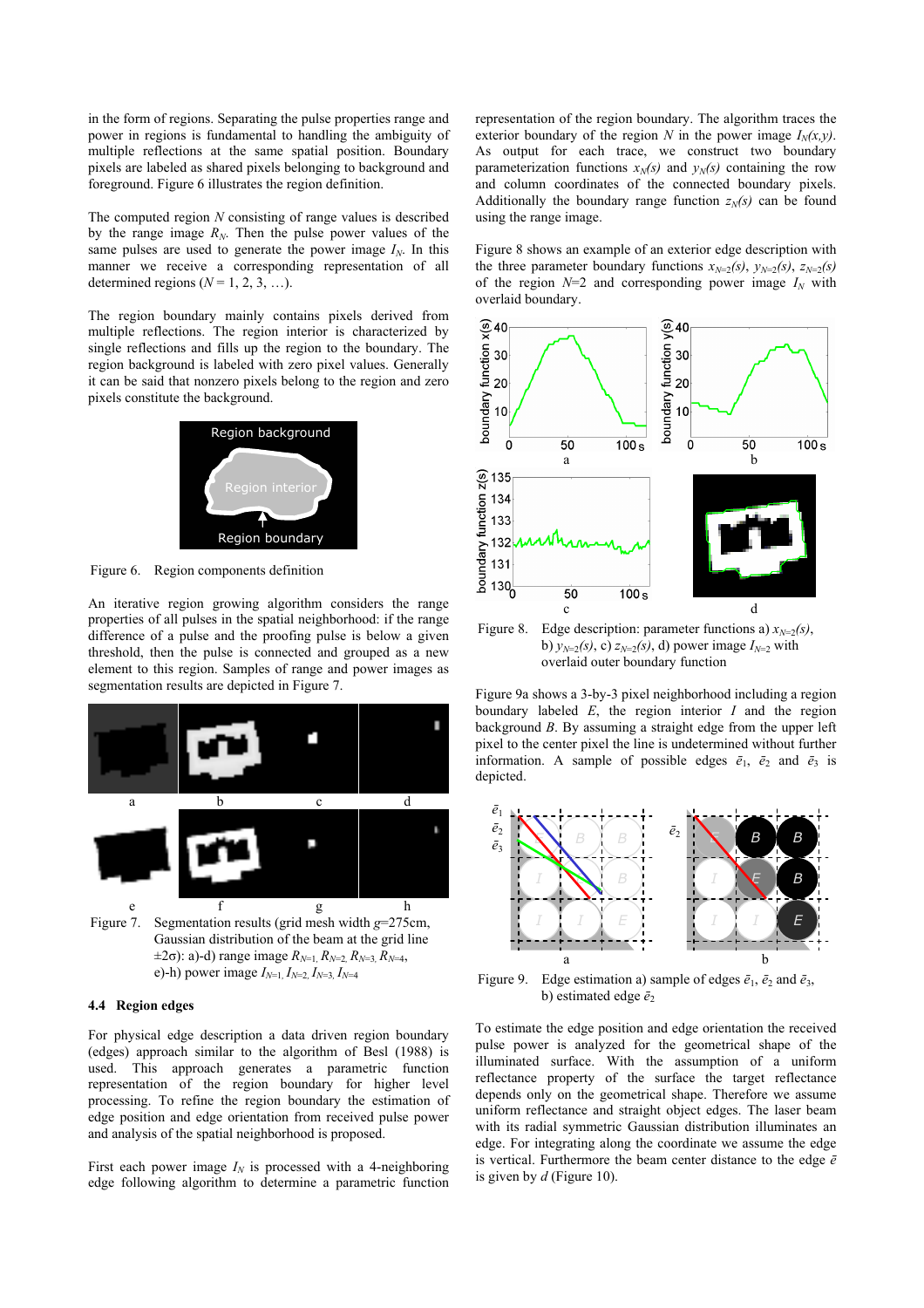in the form of regions. Separating the pulse properties range and power in regions is fundamental to handling the ambiguity of multiple reflections at the same spatial position. Boundary pixels are labeled as shared pixels belonging to background and foreground. Figure 6 illustrates the region definition.

The computed region *N* consisting of range values is described by the range image  $R_N$ . Then the pulse power values of the same pulses are used to generate the power image  $I_N$ . In this manner we receive a corresponding representation of all determined regions  $(N = 1, 2, 3, \ldots)$ .

The region boundary mainly contains pixels derived from multiple reflections. The region interior is characterized by single reflections and fills up the region to the boundary. The region background is labeled with zero pixel values. Generally it can be said that nonzero pixels belong to the region and zero pixels constitute the background.



Figure 6. Region components definition

An iterative region growing algorithm considers the range properties of all pulses in the spatial neighborhood: if the range difference of a pulse and the proofing pulse is below a given threshold, then the pulse is connected and grouped as a new element to this region. Samples of range and power images as segmentation results are depicted in Figure 7.



e)-h) power image  $I_{N=1}$ ,  $I_{N=2}$ ,  $I_{N=3}$ ,  $I_{N=4}$ 

### **4.4 Region edges**

For physical edge description a data driven region boundary (edges) approach similar to the algorithm of Besl (1988) is used. This approach generates a parametric function representation of the region boundary for higher level processing. To refine the region boundary the estimation of edge position and edge orientation from received pulse power and analysis of the spatial neighborhood is proposed.

First each power image  $I_N$  is processed with a 4-neighboring edge following algorithm to determine a parametric function representation of the region boundary. The algorithm traces the exterior boundary of the region *N* in the power image  $I<sub>N</sub>(x, y)$ . As output for each trace, we construct two boundary parameterization functions  $x_N(s)$  and  $y_N(s)$  containing the row and column coordinates of the connected boundary pixels. Additionally the boundary range function  $z<sub>N</sub>(s)$  can be found using the range image.

Figure 8 shows an example of an exterior edge description with the three parameter boundary functions  $x_{N=2}(s)$ ,  $y_{N=2}(s)$ ,  $z_{N=2}(s)$ of the region  $N=2$  and corresponding power image  $I_N$  with overlaid boundary.



Figure 8. Edge description: parameter functions a)  $x_{N=2}(s)$ , b)  $y_{N=2}(s)$ , c)  $z_{N=2}(s)$ , d) power image  $I_{N=2}$  with overlaid outer boundary function

Figure 9a shows a 3-by-3 pixel neighborhood including a region boundary labeled *E*, the region interior *I* and the region background *B*. By assuming a straight edge from the upper left pixel to the center pixel the line is undetermined without further information. A sample of possible edges  $\bar{e}_1$ ,  $\bar{e}_2$  and  $\bar{e}_3$  is depicted.



Figure 9. Edge estimation a) sample of edges  $\bar{e}_1$ ,  $\bar{e}_2$  and  $\bar{e}_3$ , b) estimated edge  $\bar{e}_2$ 

To estimate the edge position and edge orientation the received pulse power is analyzed for the geometrical shape of the illuminated surface. With the assumption of a uniform reflectance property of the surface the target reflectance depends only on the geometrical shape. Therefore we assume uniform reflectance and straight object edges. The laser beam with its radial symmetric Gaussian distribution illuminates an edge. For integrating along the coordinate we assume the edge is vertical. Furthermore the beam center distance to the edge  $\bar{e}$ is given by *d* (Figure 10).